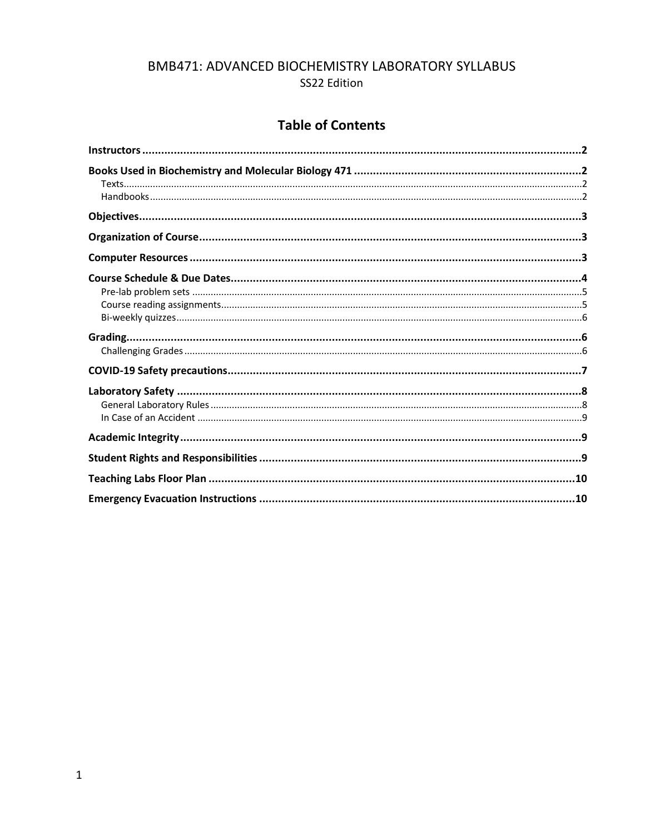# BMB471: ADVANCED BIOCHEMISTRY LABORATORY SYLLABUS SS22 Edition

# **Table of Contents**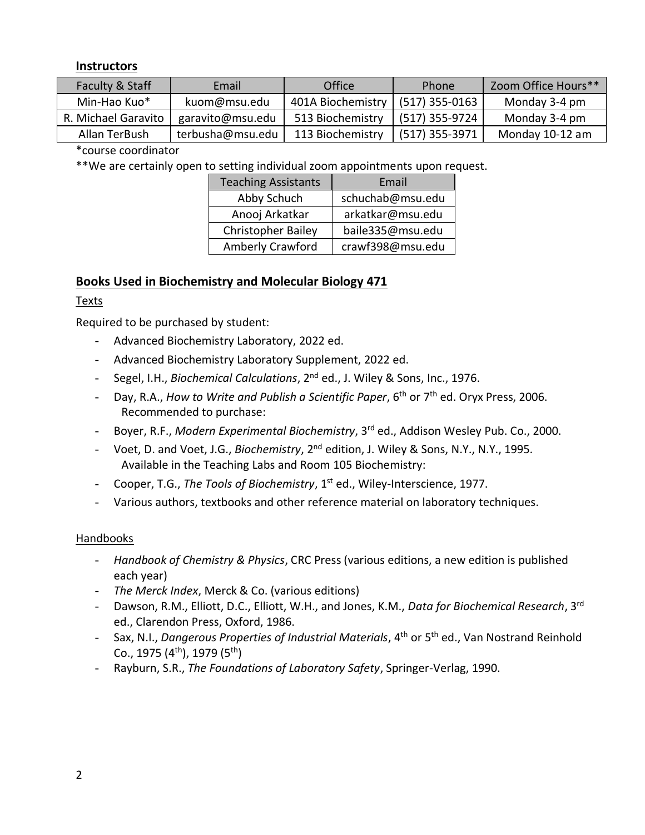### <span id="page-1-0"></span>**Instructors**

| Faculty & Staff     | Email            | Office            | Phone            | Zoom Office Hours** |
|---------------------|------------------|-------------------|------------------|---------------------|
| Min-Hao Kuo*        | kuom@msu.edu     | 401A Biochemistry | $(517)$ 355-0163 | Monday 3-4 pm       |
| R. Michael Garavito | garavito@msu.edu | 513 Biochemistry  | (517) 355-9724   | Monday 3-4 pm       |
| Allan TerBush       | terbusha@msu.edu | 113 Biochemistry  | $(517)$ 355-3971 | Monday 10-12 am     |

\*course coordinator

\*\*We are certainly open to setting individual zoom appointments upon request.

| <b>Teaching Assistants</b> | Email            |
|----------------------------|------------------|
| Abby Schuch                | schuchab@msu.edu |
| Anooj Arkatkar             | arkatkar@msu.edu |
| <b>Christopher Bailey</b>  | baile335@msu.edu |
| <b>Amberly Crawford</b>    | crawf398@msu.edu |

# <span id="page-1-1"></span>**Books Used in Biochemistry and Molecular Biology 471**

#### <span id="page-1-2"></span>Texts

Required to be purchased by student:

- Advanced Biochemistry Laboratory, 2022 ed.
- Advanced Biochemistry Laboratory Supplement, 2022 ed.
- Segel, I.H., *Biochemical Calculations*, 2nd ed., J. Wiley & Sons, Inc., 1976.
- Day, R.A., *How to Write and Publish a Scientific Paper*, 6th or 7th ed. Oryx Press, 2006. Recommended to purchase:
- Boyer, R.F., *Modern Experimental Biochemistry*, 3rd ed., Addison Wesley Pub. Co., 2000.
- Voet, D. and Voet, J.G., *Biochemistry*, 2nd edition, J. Wiley & Sons, N.Y., N.Y., 1995. Available in the Teaching Labs and Room 105 Biochemistry:
- Cooper, T.G., *The Tools of Biochemistry*, 1st ed., Wiley-Interscience, 1977.
- Various authors, textbooks and other reference material on laboratory techniques.

#### <span id="page-1-3"></span>Handbooks

- *Handbook of Chemistry & Physics*, CRC Press (various editions, a new edition is published each year)
- *The Merck Index*, Merck & Co. (various editions)
- Dawson, R.M., Elliott, D.C., Elliott, W.H., and Jones, K.M., *Data for Biochemical Research*, 3 rd ed., Clarendon Press, Oxford, 1986.
- Sax, N.I., *Dangerous Properties of Industrial Materials*, 4th or 5th ed., Van Nostrand Reinhold Co., 1975  $(4<sup>th</sup>)$ , 1979  $(5<sup>th</sup>)$
- Rayburn, S.R., *The Foundations of Laboratory Safety*, Springer-Verlag, 1990.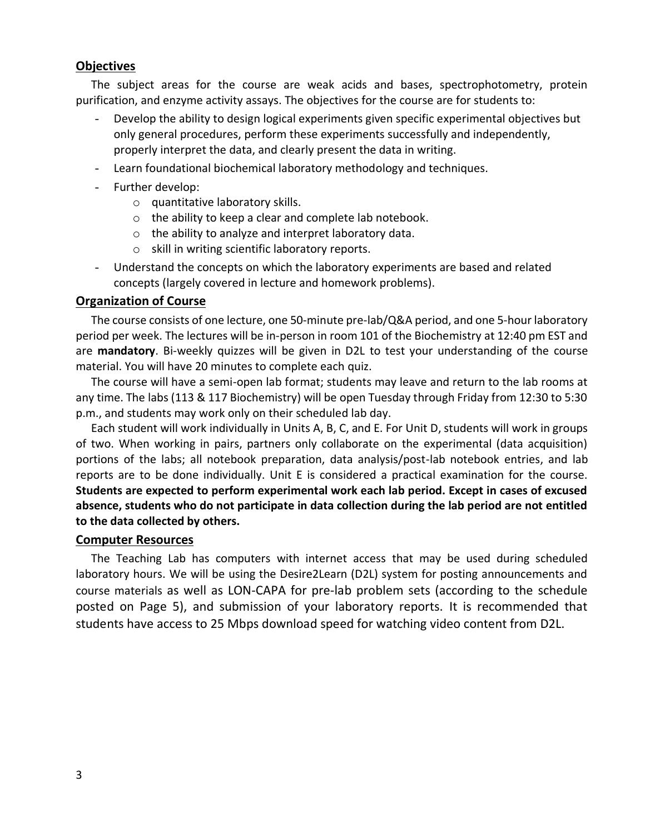#### <span id="page-2-0"></span>**Objectives**

The subject areas for the course are weak acids and bases, spectrophotometry, protein purification, and enzyme activity assays. The objectives for the course are for students to:

- Develop the ability to design logical experiments given specific experimental objectives but only general procedures, perform these experiments successfully and independently, properly interpret the data, and clearly present the data in writing.
- Learn foundational biochemical laboratory methodology and techniques.
- Further develop:
	- o quantitative laboratory skills.
	- o the ability to keep a clear and complete lab notebook.
	- o the ability to analyze and interpret laboratory data.
	- o skill in writing scientific laboratory reports.
- Understand the concepts on which the laboratory experiments are based and related concepts (largely covered in lecture and homework problems).

#### <span id="page-2-1"></span>**Organization of Course**

The course consists of one lecture, one 50-minute pre-lab/Q&A period, and one 5-hour laboratory period per week. The lectures will be in-person in room 101 of the Biochemistry at 12:40 pm EST and are **mandatory**. Bi-weekly quizzes will be given in D2L to test your understanding of the course material. You will have 20 minutes to complete each quiz.

The course will have a semi-open lab format; students may leave and return to the lab rooms at any time. The labs (113 & 117 Biochemistry) will be open Tuesday through Friday from 12:30 to 5:30 p.m., and students may work only on their scheduled lab day.

Each student will work individually in Units A, B, C, and E. For Unit D, students will work in groups of two. When working in pairs, partners only collaborate on the experimental (data acquisition) portions of the labs; all notebook preparation, data analysis/post-lab notebook entries, and lab reports are to be done individually. Unit E is considered a practical examination for the course. **Students are expected to perform experimental work each lab period. Except in cases of excused absence, students who do not participate in data collection during the lab period are not entitled to the data collected by others.** 

#### <span id="page-2-2"></span>**Computer Resources**

The Teaching Lab has computers with internet access that may be used during scheduled laboratory hours. We will be using the Desire2Learn (D2L) system for posting announcements and course materials as well as LON-CAPA for pre-lab problem sets (according to the schedule posted on Page 5), and submission of your laboratory reports. It is recommended that students have access to 25 Mbps download speed for watching video content from D2L.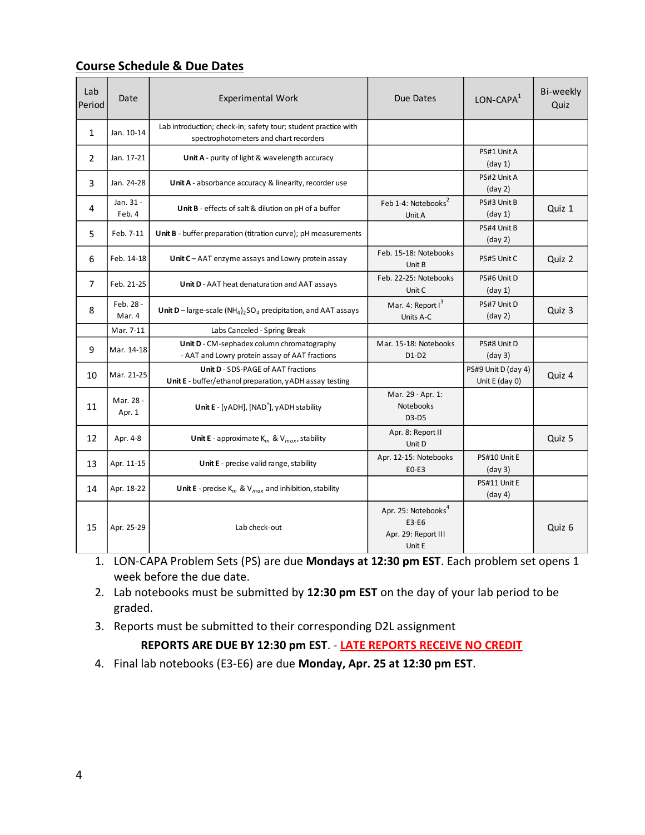<span id="page-3-0"></span>

|--|

| Lab<br>Period  | Date                | <b>Experimental Work</b>                                                                                 | Due Dates                                                                 | $LON-CAPA1$                           | Bi-weekly<br>Quiz |
|----------------|---------------------|----------------------------------------------------------------------------------------------------------|---------------------------------------------------------------------------|---------------------------------------|-------------------|
| $\mathbf{1}$   | Jan. 10-14          | Lab introduction; check-in; safety tour; student practice with<br>spectrophotometers and chart recorders |                                                                           |                                       |                   |
| $\overline{2}$ | Jan. 17-21          | Unit A - purity of light & wavelength accuracy                                                           |                                                                           | PS#1 Unit A<br>(day 1)                |                   |
| 3              | Jan. 24-28          | Unit A - absorbance accuracy & linearity, recorder use                                                   |                                                                           | PS#2 Unit A<br>$\frac{day}{2}$        |                   |
| 4              | Jan. 31 -<br>Feb. 4 | Unit B - effects of salt & dilution on pH of a buffer                                                    | Feb 1-4: Notebooks <sup>2</sup><br>Unit A                                 | PS#3 Unit B<br>(day 1)                | Quiz 1            |
| 5              | Feb. 7-11           | Unit B - buffer preparation (titration curve); pH measurements                                           |                                                                           | PS#4 Unit B<br>$\frac{day}{2}$        |                   |
| 6              | Feb. 14-18          | Unit $C - AAT$ enzyme assays and Lowry protein assay                                                     | Feb. 15-18: Notebooks<br>Unit B                                           | PS#5 Unit C                           | Quiz 2            |
| 7              | Feb. 21-25          | Unit D - AAT heat denaturation and AAT assays                                                            | Feb. 22-25: Notebooks<br>Unit C                                           | PS#6 Unit D<br>(day 1)                |                   |
| 8              | Feb. 28 -<br>Mar. 4 | Unit D – large-scale $(NH_4)_2SO_4$ precipitation, and AAT assays                                        | Mar. 4: Report $I^3$<br>Units A-C                                         | PS#7 Unit D<br>$\frac{day}{2}$        | Quiz 3            |
|                | Mar. 7-11           | Labs Canceled - Spring Break                                                                             |                                                                           |                                       |                   |
| 9              | Mar. 14-18          | Unit D - CM-sephadex column chromatography<br>- AAT and Lowry protein assay of AAT fractions             | Mar. 15-18: Notebooks<br>$D1-D2$                                          | PS#8 Unit D<br>(day 3)                |                   |
| 10             | Mar. 21-25          | <b>Unit D - SDS-PAGE of AAT fractions</b><br>Unit E - buffer/ethanol preparation, yADH assay testing     |                                                                           | PS#9 Unit D (day 4)<br>Unit E (day 0) | Quiz 4            |
| 11             | Mar. 28 -<br>Apr. 1 | Unit E - [yADH], [NAD <sup>+</sup> ], yADH stability                                                     | Mar. 29 - Apr. 1:<br>Notebooks<br>D3-D5                                   |                                       |                   |
| 12             | Apr. 4-8            | <b>Unit E</b> - approximate $K_m$ & $V_{max}$ , stability                                                | Apr. 8: Report II<br>Unit D                                               |                                       | Quiz 5            |
| 13             | Apr. 11-15          | Unit E - precise valid range, stability                                                                  | Apr. 12-15: Notebooks<br>E0-E3                                            | PS#10 Unit E<br>(day 3)               |                   |
| 14             | Apr. 18-22          | <b>Unit E</b> - precise $K_m$ & $V_{max}$ and inhibition, stability                                      |                                                                           | PS#11 Unit E<br>(day 4)               |                   |
| 15             | Apr. 25-29          | Lab check-out                                                                                            | Apr. 25: Notebooks <sup>4</sup><br>E3-E6<br>Apr. 29: Report III<br>Unit E |                                       | Quiz 6            |

- 1. LON-CAPA Problem Sets (PS) are due **Mondays at 12:30 pm EST**. Each problem set opens 1 week before the due date.
- 2. Lab notebooks must be submitted by **12:30 pm EST** on the day of your lab period to be graded.
- 3. Reports must be submitted to their corresponding D2L assignment

**REPORTS ARE DUE BY 12:30 pm EST**. - **LATE REPORTS RECEIVE NO CREDIT**

4. Final lab notebooks (E3-E6) are due **Monday, Apr. 25 at 12:30 pm EST**.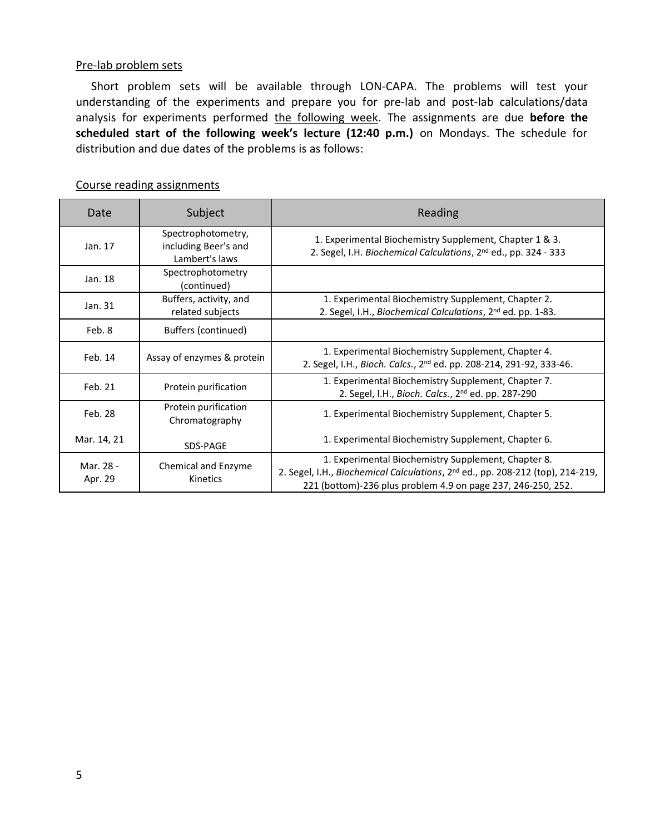#### <span id="page-4-0"></span>Pre-lab problem sets

Short problem sets will be available through LON-CAPA. The problems will test your understanding of the experiments and prepare you for pre-lab and post-lab calculations/data analysis for experiments performed the following week. The assignments are due before the **scheduled start of the following week's lecture (12:40 p.m.)** on Mondays. The schedule for distribution and due dates of the problems is as follows:

| Date                 | Subject                                                      | Reading                                                                                                                                                                                                           |
|----------------------|--------------------------------------------------------------|-------------------------------------------------------------------------------------------------------------------------------------------------------------------------------------------------------------------|
| Jan. 17              | Spectrophotometry,<br>including Beer's and<br>Lambert's laws | 1. Experimental Biochemistry Supplement, Chapter 1 & 3.<br>2. Segel, I.H. Biochemical Calculations, 2 <sup>nd</sup> ed., pp. 324 - 333                                                                            |
| Jan. 18              | Spectrophotometry<br>(continued)                             |                                                                                                                                                                                                                   |
| Jan. 31              | Buffers, activity, and<br>related subjects                   | 1. Experimental Biochemistry Supplement, Chapter 2.<br>2. Segel, I.H., Biochemical Calculations, 2 <sup>nd</sup> ed. pp. 1-83.                                                                                    |
| Feb. 8               | <b>Buffers (continued)</b>                                   |                                                                                                                                                                                                                   |
| Feb. 14              | Assay of enzymes & protein                                   | 1. Experimental Biochemistry Supplement, Chapter 4.<br>2. Segel, I.H., Bioch. Calcs., 2 <sup>nd</sup> ed. pp. 208-214, 291-92, 333-46.                                                                            |
| Feb. 21              | Protein purification                                         | 1. Experimental Biochemistry Supplement, Chapter 7.<br>2. Segel, I.H., Bioch. Calcs., 2 <sup>nd</sup> ed. pp. 287-290                                                                                             |
| Feb. 28              | Protein purification<br>Chromatography                       | 1. Experimental Biochemistry Supplement, Chapter 5.                                                                                                                                                               |
| Mar. 14, 21          | SDS-PAGE                                                     | 1. Experimental Biochemistry Supplement, Chapter 6.                                                                                                                                                               |
| Mar. 28 -<br>Apr. 29 | Chemical and Enzyme<br>Kinetics                              | 1. Experimental Biochemistry Supplement, Chapter 8.<br>2. Segel, I.H., Biochemical Calculations, 2 <sup>nd</sup> ed., pp. 208-212 (top), 214-219,<br>221 (bottom)-236 plus problem 4.9 on page 237, 246-250, 252. |

#### <span id="page-4-1"></span>Course reading assignments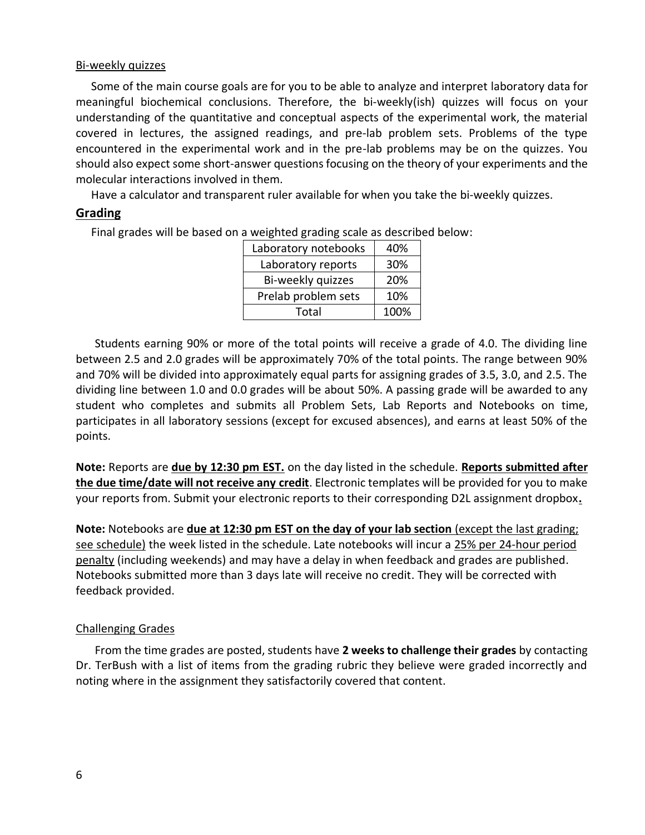#### <span id="page-5-0"></span>Bi-weekly quizzes

Some of the main course goals are for you to be able to analyze and interpret laboratory data for meaningful biochemical conclusions. Therefore, the bi-weekly(ish) quizzes will focus on your understanding of the quantitative and conceptual aspects of the experimental work, the material covered in lectures, the assigned readings, and pre-lab problem sets. Problems of the type encountered in the experimental work and in the pre-lab problems may be on the quizzes. You should also expect some short-answer questions focusing on the theory of your experiments and the molecular interactions involved in them.

Have a calculator and transparent ruler available for when you take the bi-weekly quizzes.

#### <span id="page-5-1"></span>**Grading**

Final grades will be based on a weighted grading scale as described below:

| Laboratory notebooks | 40%  |
|----------------------|------|
| Laboratory reports   | 30%  |
| Bi-weekly quizzes    | 20%  |
| Prelab problem sets  | 10%  |
| Total                | 100% |

Students earning 90% or more of the total points will receive a grade of 4.0. The dividing line between 2.5 and 2.0 grades will be approximately 70% of the total points. The range between 90% and 70% will be divided into approximately equal parts for assigning grades of 3.5, 3.0, and 2.5. The dividing line between 1.0 and 0.0 grades will be about 50%. A passing grade will be awarded to any student who completes and submits all Problem Sets, Lab Reports and Notebooks on time, participates in all laboratory sessions (except for excused absences), and earns at least 50% of the points.

**Note:** Reports are **due by 12:30 pm EST.** on the day listed in the schedule. **Reports submitted after the due time/date will not receive any credit**. Electronic templates will be provided for you to make your reports from. Submit your electronic reports to their corresponding D2L assignment dropbox**.**

**Note:** Notebooks are **due at 12:30 pm EST on the day of your lab section** (except the last grading; see schedule) the week listed in the schedule. Late notebooks will incur a 25% per 24-hour period penalty (including weekends) and may have a delay in when feedback and grades are published. Notebooks submitted more than 3 days late will receive no credit. They will be corrected with feedback provided.

#### <span id="page-5-2"></span>Challenging Grades

From the time grades are posted, students have **2 weeks to challenge their grades** by contacting Dr. TerBush with a list of items from the grading rubric they believe were graded incorrectly and noting where in the assignment they satisfactorily covered that content.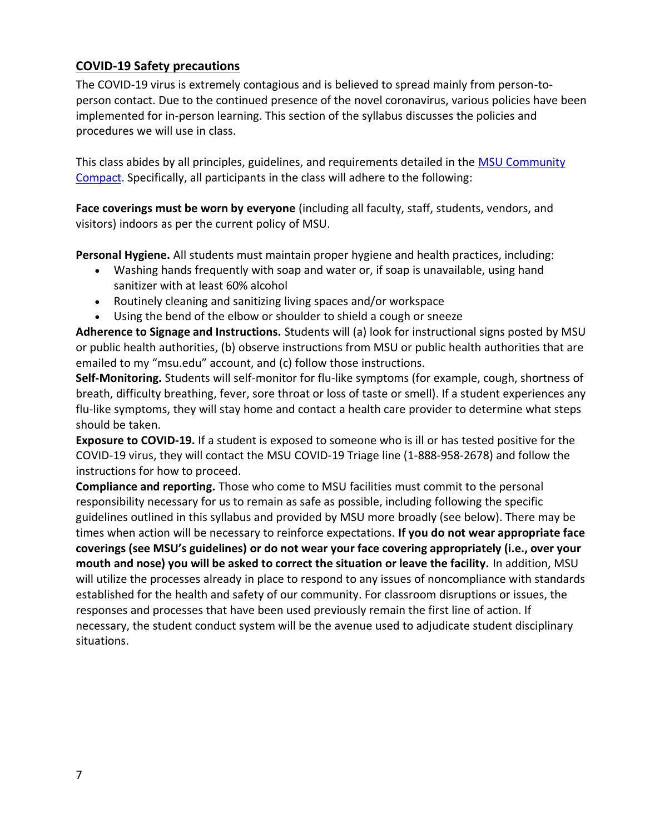# <span id="page-6-0"></span>**COVID-19 Safety precautions**

The COVID-19 virus is extremely contagious and is believed to spread mainly from person-toperson contact. Due to the continued presence of the novel coronavirus, various policies have been implemented for in-person learning. This section of the syllabus discusses the policies and procedures we will use in class.

This class abides by all principles, guidelines, and requirements detailed in the MSU Community [Compact.](https://msu.edu/together-we-will/msu-community-compact/?utm_source=reopening-email&utm_medium=email&utm_campaign=faculty-staff) Specifically, all participants in the class will adhere to the following:

**Face coverings must be worn by everyone** (including all faculty, staff, students, vendors, and visitors) indoors as per the current policy of MSU.

**Personal Hygiene.** All students must maintain proper hygiene and health practices, including:

- Washing hands frequently with soap and water or, if soap is unavailable, using hand sanitizer with at least 60% alcohol
- Routinely cleaning and sanitizing living spaces and/or workspace
- Using the bend of the elbow or shoulder to shield a cough or sneeze

**Adherence to Signage and Instructions.** Students will (a) look for instructional signs posted by MSU or public health authorities, (b) observe instructions from MSU or public health authorities that are emailed to my "msu.edu" account, and (c) follow those instructions.

**Self-Monitoring.** Students will self-monitor for flu-like symptoms (for example, cough, shortness of breath, difficulty breathing, fever, sore throat or loss of taste or smell). If a student experiences any flu-like symptoms, they will stay home and contact a health care provider to determine what steps should be taken.

**Exposure to COVID-19.** If a student is exposed to someone who is ill or has tested positive for the COVID-19 virus, they will contact the MSU COVID-19 Triage line (1-888-958-2678) and follow the instructions for how to proceed.

**Compliance and reporting.** Those who come to MSU facilities must commit to the personal responsibility necessary for us to remain as safe as possible, including following the specific guidelines outlined in this syllabus and provided by MSU more broadly (see below). There may be times when action will be necessary to reinforce expectations. **If you do not wear appropriate face coverings (see MSU's guidelines) or do not wear your face covering appropriately (i.e., over your mouth and nose) you will be asked to correct the situation or leave the facility.** In addition, MSU will utilize the processes already in place to respond to any issues of noncompliance with standards established for the health and safety of our community. For classroom disruptions or issues, the responses and processes that have been used previously remain the first line of action. If necessary, the student conduct system will be the avenue used to adjudicate student disciplinary situations.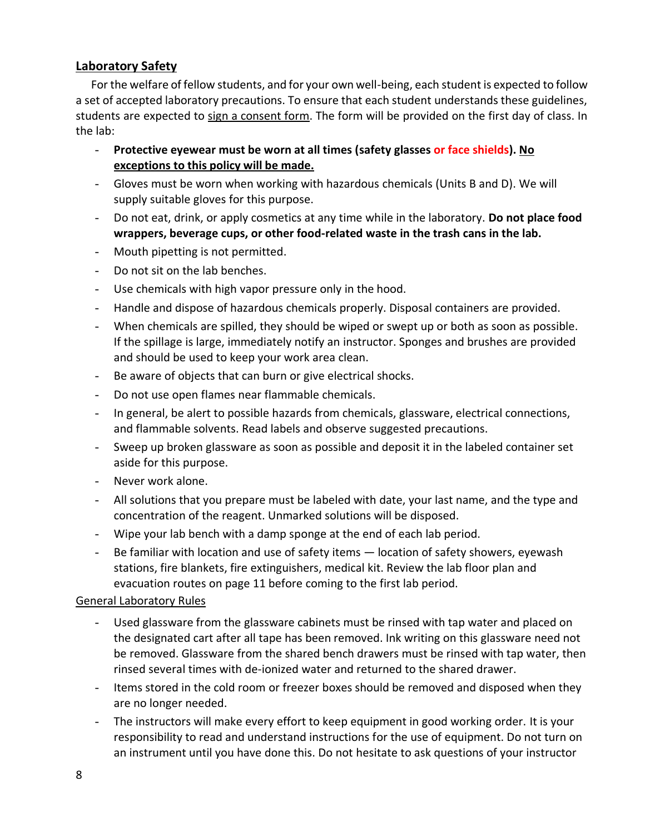# <span id="page-7-0"></span>**Laboratory Safety**

For the welfare of fellow students, and for your own well-being, each student is expected to follow a set of accepted laboratory precautions. To ensure that each student understands these guidelines, students are expected to sign a consent form. The form will be provided on the first day of class. In the lab:

- **Protective eyewear must be worn at all times (safety glasses or face shields). No exceptions to this policy will be made.**
- Gloves must be worn when working with hazardous chemicals (Units B and D). We will supply suitable gloves for this purpose.
- Do not eat, drink, or apply cosmetics at any time while in the laboratory. **Do not place food wrappers, beverage cups, or other food-related waste in the trash cans in the lab.**
- Mouth pipetting is not permitted.
- Do not sit on the lab benches.
- Use chemicals with high vapor pressure only in the hood.
- Handle and dispose of hazardous chemicals properly. Disposal containers are provided.
- When chemicals are spilled, they should be wiped or swept up or both as soon as possible. If the spillage is large, immediately notify an instructor. Sponges and brushes are provided and should be used to keep your work area clean.
- Be aware of objects that can burn or give electrical shocks.
- Do not use open flames near flammable chemicals.
- In general, be alert to possible hazards from chemicals, glassware, electrical connections, and flammable solvents. Read labels and observe suggested precautions.
- Sweep up broken glassware as soon as possible and deposit it in the labeled container set aside for this purpose.
- Never work alone.
- All solutions that you prepare must be labeled with date, your last name, and the type and concentration of the reagent. Unmarked solutions will be disposed.
- Wipe your lab bench with a damp sponge at the end of each lab period.
- Be familiar with location and use of safety items location of safety showers, eyewash stations, fire blankets, fire extinguishers, medical kit. Review the lab floor plan and evacuation routes on page 11 before coming to the first lab period.

#### <span id="page-7-1"></span>General Laboratory Rules

- Used glassware from the glassware cabinets must be rinsed with tap water and placed on the designated cart after all tape has been removed. Ink writing on this glassware need not be removed. Glassware from the shared bench drawers must be rinsed with tap water, then rinsed several times with de-ionized water and returned to the shared drawer.
- Items stored in the cold room or freezer boxes should be removed and disposed when they are no longer needed.
- The instructors will make every effort to keep equipment in good working order. It is your responsibility to read and understand instructions for the use of equipment. Do not turn on an instrument until you have done this. Do not hesitate to ask questions of your instructor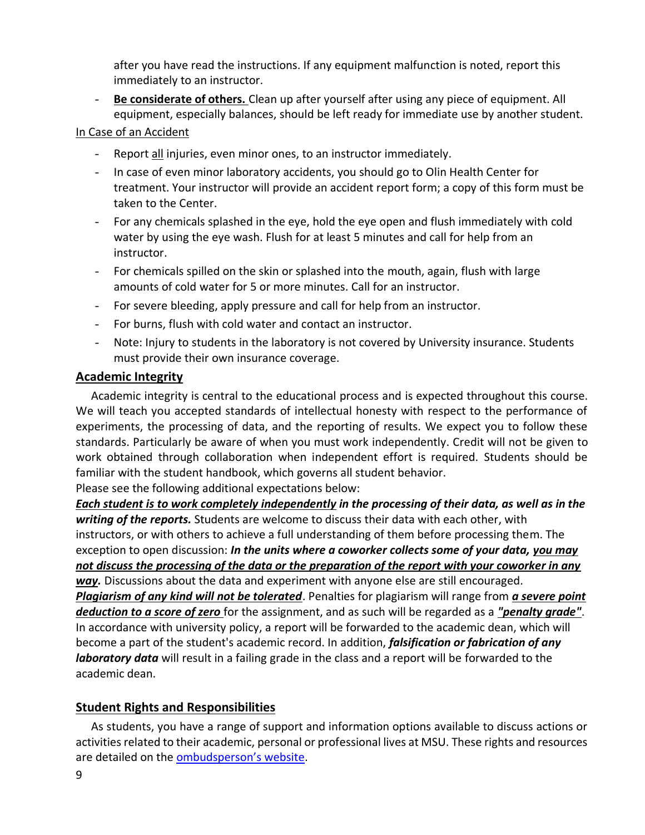after you have read the instructions. If any equipment malfunction is noted, report this immediately to an instructor.

- **Be considerate of others.** Clean up after yourself after using any piece of equipment. All equipment, especially balances, should be left ready for immediate use by another student.

#### <span id="page-8-0"></span>In Case of an Accident

- Report all injuries, even minor ones, to an instructor immediately.
- In case of even minor laboratory accidents, you should go to Olin Health Center for treatment. Your instructor will provide an accident report form; a copy of this form must be taken to the Center.
- For any chemicals splashed in the eye, hold the eye open and flush immediately with cold water by using the eye wash. Flush for at least 5 minutes and call for help from an instructor.
- For chemicals spilled on the skin or splashed into the mouth, again, flush with large amounts of cold water for 5 or more minutes. Call for an instructor.
- For severe bleeding, apply pressure and call for help from an instructor.
- For burns, flush with cold water and contact an instructor.
- Note: Injury to students in the laboratory is not covered by University insurance. Students must provide their own insurance coverage.

#### <span id="page-8-1"></span>**Academic Integrity**

Academic integrity is central to the educational process and is expected throughout this course. We will teach you accepted standards of intellectual honesty with respect to the performance of experiments, the processing of data, and the reporting of results. We expect you to follow these standards. Particularly be aware of when you must work independently. Credit will not be given to work obtained through collaboration when independent effort is required. Students should be familiar with the student handbook, which governs all student behavior.

Please see the following additional expectations below:

*Each student is to work completely independently in the processing of their data, as well as in the writing of the reports.* Students are welcome to discuss their data with each other, with instructors, or with others to achieve a full understanding of them before processing them. The exception to open discussion: *In the units where a coworker collects some of your data, you may not discuss the processing of the data or the preparation of the report with your coworker in any way.* Discussions about the data and experiment with anyone else are still encouraged. *Plagiarism of any kind will not be tolerated*. Penalties for plagiarism will range from *a severe point deduction to a score of zero* for the assignment, and as such will be regarded as a *"penalty grade"*. In accordance with university policy, a report will be forwarded to the academic dean, which will become a part of the student's academic record. In addition, *falsification or fabrication of any laboratory data* will result in a failing grade in the class and a report will be forwarded to the academic dean.

# <span id="page-8-2"></span>**Student Rights and Responsibilities**

As students, you have a range of support and information options available to discuss actions or activities related to their academic, personal or professional lives at MSU. These rights and resources are detailed on the **[ombudsperson's website](https://ombud.msu.edu/index.html)**.